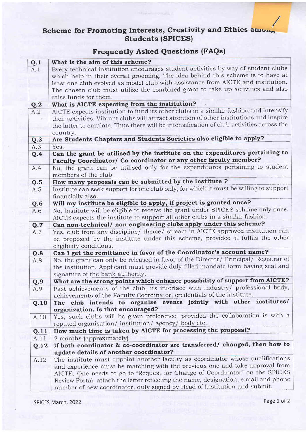## Scheme for Promoting Interests, Creativity and Ethics  $\overline{\text{amu}_{r}}$ .<br>Students (SPICES)

## Frequently Asked Questions (FAQs)

| Q.1  | What is the aim of this scheme?                                                          |
|------|------------------------------------------------------------------------------------------|
| A.1  | Every technical institution encourages student activities by way of student clubs        |
|      | which help in their overall grooming. The idea behind this scheme is to have at          |
|      | least one club evolved as model club with assistance from AICTE and institution.         |
|      | The chosen club must utilize the combined grant to take up activities and also           |
|      | raise funds for them.                                                                    |
| Q.2  | What is AICTE expecting from the institution?                                            |
| A.2  | AICTE expects institution to fund its other clubs in a similar fashion and intensify     |
|      | their activities. Vibrant clubs will attract attention of other institutions and inspire |
|      | the latter to emulate. Thus there will be intensification of club activities across the  |
|      | country.                                                                                 |
| Q.3  | Are Students Chapters and Students Societies also eligible to apply?                     |
| A.3  | Yes.                                                                                     |
| Q.4  | Can the grant be utilised by the institute on the expenditures pertaining to             |
|      | Faculty Coordinator/ Co-coordinator or any other faculty member?                         |
| A.4  | No, the grant can be utilised only for the expenditures pertaining to student            |
|      | members of the club.                                                                     |
| Q.5  | How many proposals can be submitted by the institute ?                                   |
| A.5  | Institute can seek support for one club only, for which it must be willing to support    |
|      | financially also.                                                                        |
| Q.6  | Will my institute be eligible to apply, if project is granted once?                      |
| A.6  | No, Institute will be eligible to receive the grant under SPICES scheme only once.       |
|      | AICTE expects the institute to support all other clubs in a similar fashion.             |
| Q.7  | Can non-technical/ non-engineering clubs apply under this scheme?                        |
| A.7  | Yes, club from any discipline/ theme/ stream in AICTE approved institution can           |
|      | be proposed by the institute under this scheme, provided it fulfils the other            |
|      | eligibility conditions.                                                                  |
| Q.8  | Can I get the remittance in favor of the Coordinator's account name?                     |
| A.8  | No, the grant can only be released in favor of the Director/ Principal/ Registrar of     |
|      | the institution. Applicant must provide duly-filled mandate form having seal and         |
|      | signature of the bank authority.                                                         |
| Q.9  | What are the strong points which enhance possibility of support from AICTE?              |
| A.9  | Past achievements of the club, its interface with industry/ professional body,           |
|      | achievements of the Faculty Coordinator, credentials of the institute.                   |
| Q.10 | The club intends to organize events jointly with other institutes/                       |
|      | organization. Is that encouraged?                                                        |
| A.10 | Yes, such clubs will be given preference, provided the collaboration is with a           |
|      | reputed organisation/institution/agency/body etc.                                        |
| Q.11 | How much time is taken by AICTE for processing the proposal?                             |
| A.11 | 2 months (approximately)                                                                 |
| Q.12 | If both coordinator & co-coordinator are transferred/ changed, then how to               |
|      | update details of another coordinator?                                                   |
| A.12 | The institute must appoint another faculty as coordinator whose qualifications           |
|      | and experience must be matching with the previous one and take approval from             |
|      | AICTE. One needs to go to "Request for Change of Coordinator" on the SPICES              |
|      | Review Portal, attach the letter reflecting the name, designation, e mail and phone      |
|      | number of new coordinator, duly signed by Head of Institution and submit.                |